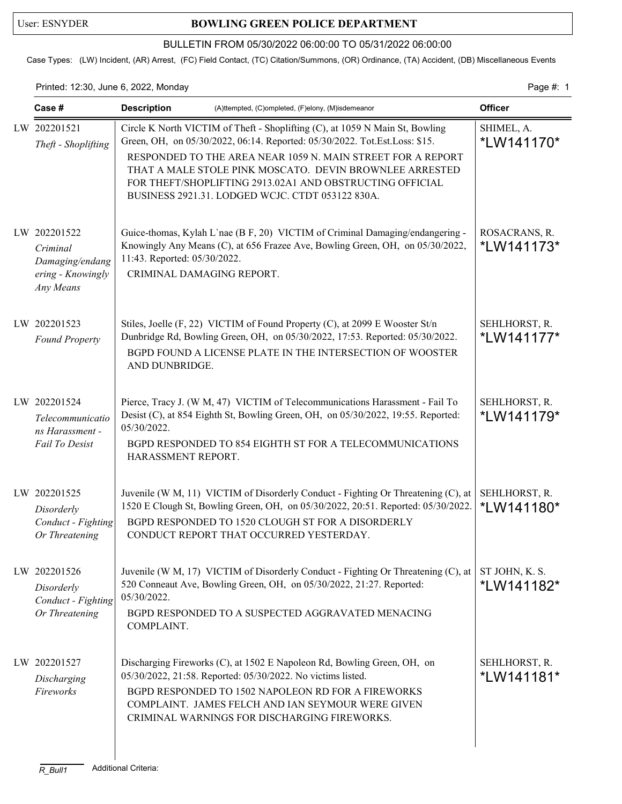## User: ESNYDER **BOWLING GREEN POLICE DEPARTMENT**

## BULLETIN FROM 05/30/2022 06:00:00 TO 05/31/2022 06:00:00

Case Types: (LW) Incident, (AR) Arrest, (FC) Field Contact, (TC) Citation/Summons, (OR) Ordinance, (TA) Accident, (DB) Miscellaneous Events

Printed: 12:30, June 6, 2022, Monday **Page #: 1** Page #: 1

| Case #                                                                        | <b>Description</b><br>(A)ttempted, (C)ompleted, (F)elony, (M)isdemeanor                                                                                                                                                                                                                                                                                                                              | <b>Officer</b>               |
|-------------------------------------------------------------------------------|------------------------------------------------------------------------------------------------------------------------------------------------------------------------------------------------------------------------------------------------------------------------------------------------------------------------------------------------------------------------------------------------------|------------------------------|
| LW 202201521<br>Theft - Shoplifting                                           | Circle K North VICTIM of Theft - Shoplifting (C), at 1059 N Main St, Bowling<br>Green, OH, on 05/30/2022, 06:14. Reported: 05/30/2022. Tot.Est.Loss: \$15.<br>RESPONDED TO THE AREA NEAR 1059 N. MAIN STREET FOR A REPORT<br>THAT A MALE STOLE PINK MOSCATO. DEVIN BROWNLEE ARRESTED<br>FOR THEFT/SHOPLIFTING 2913.02A1 AND OBSTRUCTING OFFICIAL<br>BUSINESS 2921.31. LODGED WCJC. CTDT 053122 830A. | SHIMEL, A.<br>*LW141170*     |
| LW 202201522<br>Criminal<br>Damaging/endang<br>ering - Knowingly<br>Any Means | Guice-thomas, Kylah L'nae (B F, 20) VICTIM of Criminal Damaging/endangering -<br>Knowingly Any Means (C), at 656 Frazee Ave, Bowling Green, OH, on 05/30/2022,<br>11:43. Reported: 05/30/2022.<br>CRIMINAL DAMAGING REPORT.                                                                                                                                                                          | ROSACRANS, R.<br>*LW141173*  |
| LW 202201523<br><b>Found Property</b>                                         | Stiles, Joelle (F, 22) VICTIM of Found Property (C), at 2099 E Wooster St/n<br>Dunbridge Rd, Bowling Green, OH, on 05/30/2022, 17:53. Reported: 05/30/2022.<br>BGPD FOUND A LICENSE PLATE IN THE INTERSECTION OF WOOSTER<br>AND DUNBRIDGE.                                                                                                                                                           | SEHLHORST, R.<br>*LW141177*  |
| LW 202201524<br>Telecommunicatio<br>ns Harassment -<br>Fail To Desist         | Pierce, Tracy J. (W M, 47) VICTIM of Telecommunications Harassment - Fail To<br>Desist (C), at 854 Eighth St, Bowling Green, OH, on 05/30/2022, 19:55. Reported:<br>05/30/2022.<br>BGPD RESPONDED TO 854 EIGHTH ST FOR A TELECOMMUNICATIONS<br>HARASSMENT REPORT.                                                                                                                                    | SEHLHORST, R.<br>*LW141179*  |
| LW 202201525<br>Disorderly<br>Conduct - Fighting<br>Or Threatening            | Juvenile (W M, 11) VICTIM of Disorderly Conduct - Fighting Or Threatening (C), at<br>1520 E Clough St, Bowling Green, OH, on 05/30/2022, 20:51. Reported: 05/30/2022.<br>BGPD RESPONDED TO 1520 CLOUGH ST FOR A DISORDERLY<br>CONDUCT REPORT THAT OCCURRED YESTERDAY.                                                                                                                                | SEHLHORST, R.<br>*LW141180*  |
| LW 202201526<br>Disorderly<br>Conduct - Fighting<br>Or Threatening            | Juvenile (W M, 17) VICTIM of Disorderly Conduct - Fighting Or Threatening (C), at<br>520 Conneaut Ave, Bowling Green, OH, on 05/30/2022, 21:27. Reported:<br>05/30/2022.<br>BGPD RESPONDED TO A SUSPECTED AGGRAVATED MENACING<br>COMPLAINT.                                                                                                                                                          | ST JOHN, K. S.<br>*LW141182* |
| LW 202201527<br>Discharging<br>Fireworks                                      | Discharging Fireworks (C), at 1502 E Napoleon Rd, Bowling Green, OH, on<br>05/30/2022, 21:58. Reported: 05/30/2022. No victims listed.<br>BGPD RESPONDED TO 1502 NAPOLEON RD FOR A FIREWORKS<br>COMPLAINT. JAMES FELCH AND IAN SEYMOUR WERE GIVEN<br>CRIMINAL WARNINGS FOR DISCHARGING FIREWORKS.                                                                                                    | SEHLHORST, R.<br>*LW141181*  |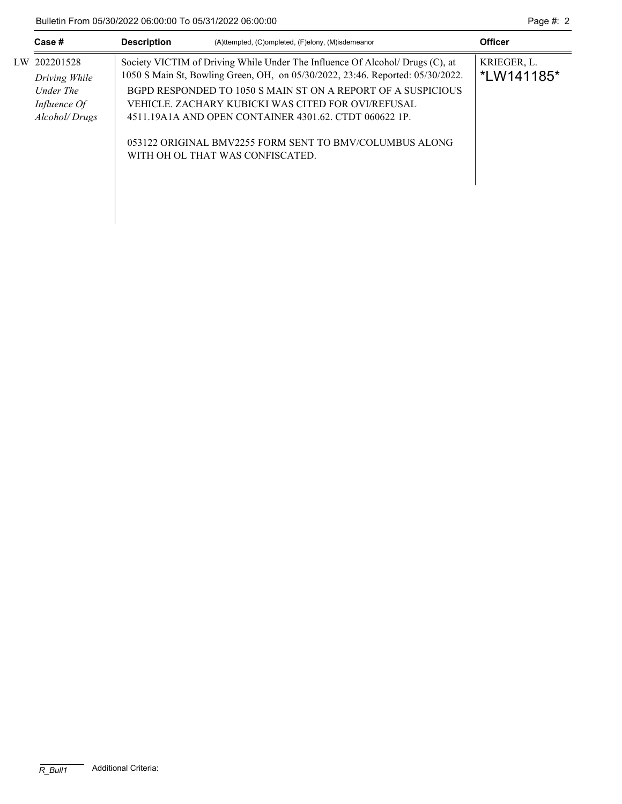|    | Case #                                     | <b>Description</b>                                                                                                                                              | (A)ttempted, (C)ompleted, (F)elony, (M)isdemeanor                                                                                                                            | <b>Officer</b> |
|----|--------------------------------------------|-----------------------------------------------------------------------------------------------------------------------------------------------------------------|------------------------------------------------------------------------------------------------------------------------------------------------------------------------------|----------------|
| LW | 202201528<br>Driving While                 | Society VICTIM of Driving While Under The Influence Of Alcohol/ Drugs (C), at<br>1050 S Main St, Bowling Green, OH, on 05/30/2022, 23:46. Reported: 05/30/2022. | KRIEGER, L.<br>*LW141185*                                                                                                                                                    |                |
|    | Under The<br>Influence Of<br>Alcohol/Drugs |                                                                                                                                                                 | BGPD RESPONDED TO 1050 S MAIN ST ON A REPORT OF A SUSPICIOUS<br>VEHICLE. ZACHARY KUBICKI WAS CITED FOR OVI/REFUSAL<br>4511.19A1A AND OPEN CONTAINER 4301.62. CTDT 060622 1P. |                |
|    |                                            |                                                                                                                                                                 | 053122 ORIGINAL BMV2255 FORM SENT TO BMV/COLUMBUS ALONG<br>WITH OH OL THAT WAS CONFISCATED.                                                                                  |                |